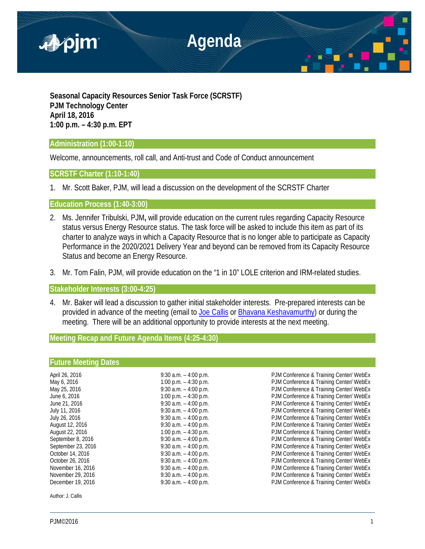

**Seasonal Capacity Resources Senior Task Force (SCRSTF) PJM Technology Center April 18, 2016 1:00 p.m. – 4:30 p.m. EPT**

## **Administration (1:00-1:10)**

Welcome, announcements, roll call, and Anti-trust and Code of Conduct announcement

# **SCRSTF Charter (1:10-1:40)**

1. Mr. Scott Baker, PJM, will lead a discussion on the development of the SCRSTF Charter

**Education Process (1:40-3:00)** 

- 2. Ms. Jennifer Tribulski, PJM**,** will provide education on the current rules regarding Capacity Resource status versus Energy Resource status. The task force will be asked to include this item as part of its charter to analyze ways in which a Capacity Resource that is no longer able to participate as Capacity Performance in the 2020/2021 Delivery Year and beyond can be removed from its Capacity Resource Status and become an Energy Resource.
- 3. Mr. Tom Falin, PJM, will provide education on the "1 in 10" LOLE criterion and IRM-related studies.

**Stakeholder Interests (3:00-4:25)** 

4. Mr. Baker will lead a discussion to gather initial stakeholder interests. Pre-prepared interests can be provided in advance of the meeting (email to [Joe Callis](mailto:Joseph.Callis@pjm.com) or [Bhavana Keshavamurthy\)](mailto:bhavana.murthy@pjm.com?subject=SCRSTF%20Stakeholder%20Interests) or during the meeting. There will be an additional opportunity to provide interests at the next meeting.

**Meeting Recap and Future Agenda Items (4:25-4:30)**

### **Future Meeting Dates**

| April 26, 2016     | 9:30 a.m. $-$ 4:00 p.m. | PJM Conference & Training Center/ WebEx |
|--------------------|-------------------------|-----------------------------------------|
| May 6, 2016        | 1:00 p.m. $-$ 4:30 p.m. | PJM Conference & Training Center/ WebEx |
| May 25, 2016       | 9:30 a.m. $-$ 4:00 p.m. | PJM Conference & Training Center/ WebEx |
| June 6, 2016       | 1:00 p.m. $-$ 4:30 p.m. | PJM Conference & Training Center/ WebEx |
| June 21, 2016      | 9:30 a.m. $-$ 4:00 p.m. | PJM Conference & Training Center/ WebEx |
| July 11, 2016      | 9:30 a.m. $-$ 4:00 p.m. | PJM Conference & Training Center/ WebEx |
| July 26, 2016      | 9:30 a.m. $-$ 4:00 p.m. | PJM Conference & Training Center/ WebEx |
| August 12, 2016    | 9:30 a.m. $-$ 4:00 p.m. | PJM Conference & Training Center/ WebEx |
| August 22, 2016    | 1:00 p.m. $-$ 4:30 p.m. | PJM Conference & Training Center/ WebEx |
| September 8, 2016  | 9:30 a.m. $-$ 4:00 p.m. | PJM Conference & Training Center/ WebEx |
| September 23, 2016 | 9:30 a.m. $-$ 4:00 p.m. | PJM Conference & Training Center/ WebEx |
| October 14, 2016   | 9:30 a.m. $-$ 4:00 p.m. | PJM Conference & Training Center/ WebEx |
| October 26, 2016   | 9:30 a.m. $-$ 4:00 p.m. | PJM Conference & Training Center/ WebEx |
| November 16, 2016  | 9:30 a.m. $-$ 4:00 p.m. | PJM Conference & Training Center/ WebEx |
| November 29, 2016  | 9:30 a.m. $-$ 4:00 p.m. | PJM Conference & Training Center/ WebEx |
| December 19, 2016  | 9:30 a.m. $-$ 4:00 p.m. | PJM Conference & Training Center/ WebEx |
|                    |                         |                                         |

Author: J. Callis